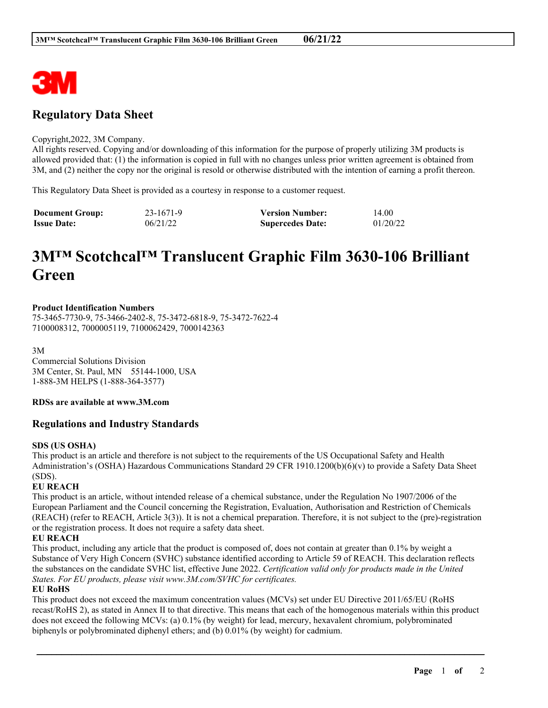

## **Regulatory Data Sheet**

#### Copyright,2022, 3M Company.

All rights reserved. Copying and/or downloading of this information for the purpose of properly utilizing 3M products is allowed provided that: (1) the information is copied in full with no changes unless prior written agreement is obtained from 3M, and (2) neither the copy nor the original is resold or otherwise distributed with the intention of earning a profit thereon.

This Regulatory Data Sheet is provided as a courtesy in response to a customer request.

| <b>Document Group:</b> | 23-1671-9 | <b>Version Number:</b>  | 14.00    |
|------------------------|-----------|-------------------------|----------|
| <b>Issue Date:</b>     | 06/21/22  | <b>Supercedes Date:</b> | 01/20/22 |

# **3M™ Scotchcal™ Translucent Graphic Film 3630-106 Brilliant Green**

#### **Product Identification Numbers**

75-3465-7730-9, 75-3466-2402-8, 75-3472-6818-9, 75-3472-7622-4 7100008312, 7000005119, 7100062429, 7000142363

3M

Commercial Solutions Division 3M Center, St. Paul, MN 55144-1000, USA 1-888-3M HELPS (1-888-364-3577)

#### **RDSs are available at www.3M.com**

#### **Regulations and Industry Standards**

#### **SDS (US OSHA)**

This product is an article and therefore is not subject to the requirements of the US Occupational Safety and Health Administration's (OSHA) Hazardous Communications Standard 29 CFR 1910.1200(b)(6)(v) to provide a Safety Data Sheet (SDS).

#### **EU REACH**

This product is an article, without intended release of a chemical substance, under the Regulation No 1907/2006 of the European Parliament and the Council concerning the Registration, Evaluation, Authorisation and Restriction of Chemicals (REACH) (refer to REACH, Article 3(3)). It is not a chemical preparation. Therefore, it is not subject to the (pre)-registration or the registration process. It does not require a safety data sheet.

#### **EU REACH**

This product, including any article that the product is composed of, does not contain at greater than 0.1% by weight a Substance of Very High Concern (SVHC) substance identified according to Article 59 of REACH. This declaration reflects the substances on the candidate SVHC list, effective June 2022. *Certification valid only for products made in the United States. For EU products, please visit www.3M.com/SVHC for certificates.*

### **EU RoHS**

This product does not exceed the maximum concentration values (MCVs) set under EU Directive 2011/65/EU (RoHS recast/RoHS 2), as stated in Annex II to that directive. This means that each of the homogenous materials within this product does not exceed the following MCVs: (a) 0.1% (by weight) for lead, mercury, hexavalent chromium, polybrominated biphenyls or polybrominated diphenyl ethers; and (b) 0.01% (by weight) for cadmium.

\_\_\_\_\_\_\_\_\_\_\_\_\_\_\_\_\_\_\_\_\_\_\_\_\_\_\_\_\_\_\_\_\_\_\_\_\_\_\_\_\_\_\_\_\_\_\_\_\_\_\_\_\_\_\_\_\_\_\_\_\_\_\_\_\_\_\_\_\_\_\_\_\_\_\_\_\_\_\_\_\_\_\_\_\_\_\_\_\_\_